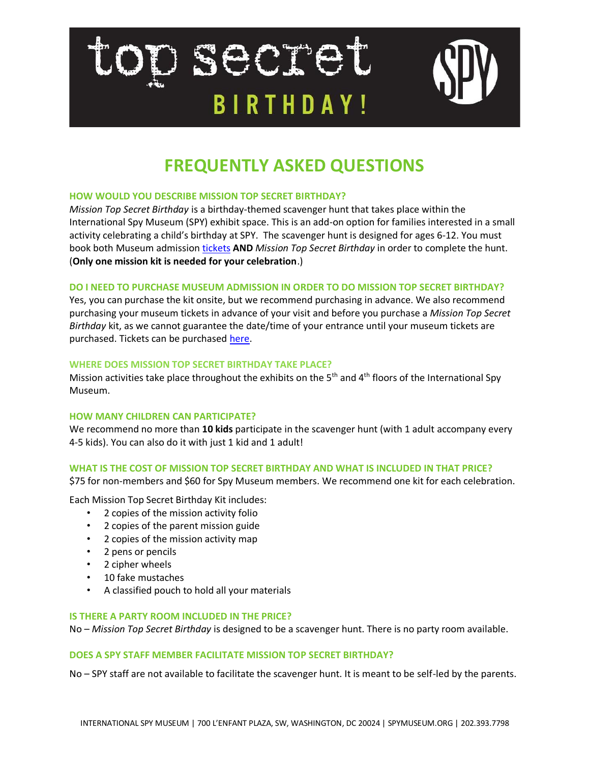# terrent action **BIRTHDAY!**



# **FREQUENTLY ASKED QUESTIONS**

# **HOW WOULD YOU DESCRIBE MISSION TOP SECRET BIRTHDAY?**

*Mission Top Secret Birthday* is a birthday-themed scavenger hunt that takes place within the International Spy Museum (SPY) exhibit space. This is an add-on option for families interested in a small activity celebrating a child's birthday at SPY. The scavenger hunt is designed for ages 6-12. You must book both Museum admission [tickets](https://tickets.spymuseum.org/Groupadmissions/GeneralAdmission.aspx?node_id=1750) **AND** *Mission Top Secret Birthday* in order to complete the hunt. (**Only one mission kit is needed for your celebration**.)

# **DO I NEED TO PURCHASE MUSEUM ADMISSION IN ORDER TO DO MISSION TOP SECRET BIRTHDAY?**

Yes, you can purchase the kit onsite, but we recommend purchasing in advance. We also recommend purchasing your museum tickets in advance of your visit and before you purchase a *Mission Top Secret Birthday* kit, as we cannot guarantee the date/time of your entrance until your museum tickets are purchased. Tickets can be purchased [here.](https://tickets.spymuseum.org/Groupadmissions/GeneralAdmission.aspx?node_id=1750)

# **WHERE DOES MISSION TOP SECRET BIRTHDAY TAKE PLACE?**

Mission activities take place throughout the exhibits on the  $5<sup>th</sup>$  and  $4<sup>th</sup>$  floors of the International Spy Museum.

# **HOW MANY CHILDREN CAN PARTICIPATE?**

We recommend no more than **10 kids** participate in the scavenger hunt (with 1 adult accompany every 4-5 kids). You can also do it with just 1 kid and 1 adult!

# **WHAT IS THE COST OF MISSION TOP SECRET BIRTHDAY AND WHAT IS INCLUDED IN THAT PRICE?**

\$75 for non-members and \$60 for Spy Museum members. We recommend one kit for each celebration.

Each Mission Top Secret Birthday Kit includes:

- 2 copies of the mission activity folio
- 2 copies of the parent mission guide
- 2 copies of the mission activity map
- 2 pens or pencils
- 2 cipher wheels
- 10 fake mustaches
- A classified pouch to hold all your materials

#### **IS THERE A PARTY ROOM INCLUDED IN THE PRICE?**

No – *Mission Top Secret Birthday* is designed to be a scavenger hunt. There is no party room available.

#### **DOES A SPY STAFF MEMBER FACILITATE MISSION TOP SECRET BIRTHDAY?**

No – SPY staff are not available to facilitate the scavenger hunt. It is meant to be self-led by the parents.